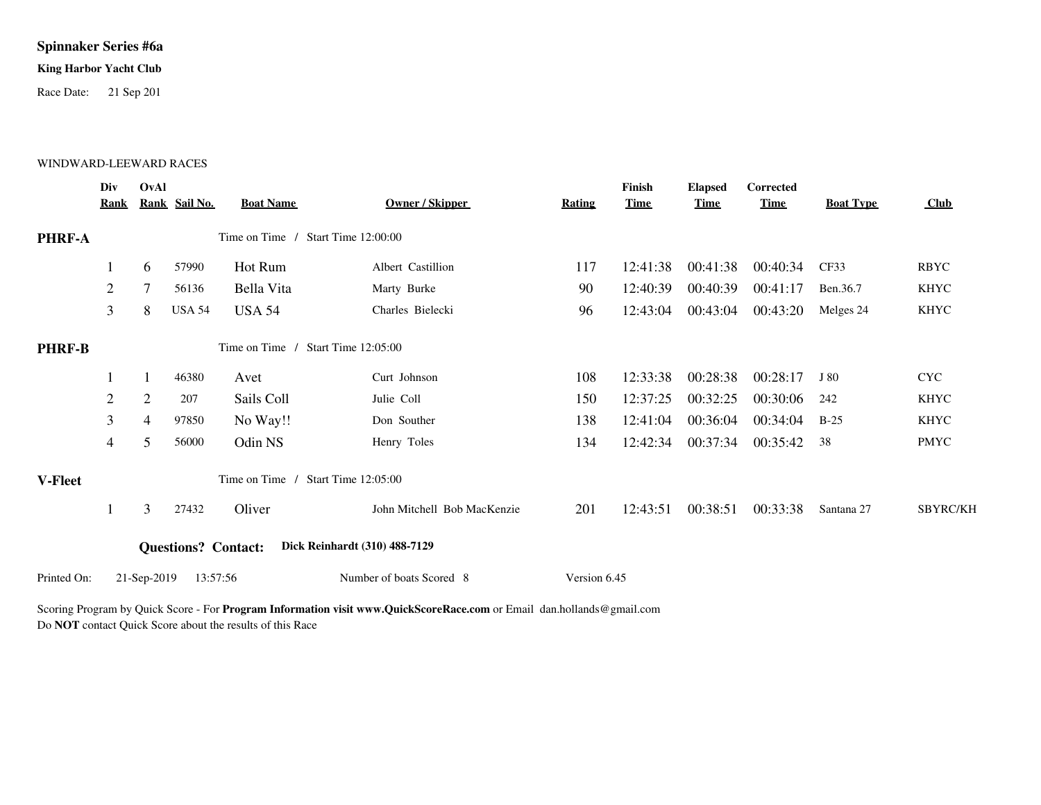# **Spinnaker Series #6a**

## **King Harbor Yacht Club**

Race Date: 21 Sep 201

### WINDWARD-LEEWARD RACES

|                | Div<br><b>Rank</b>                 | OvAl           | Rank Sail No.              | <b>Boat Name</b>                   | <b>Owner / Skipper</b>        | Rating       | Finish<br><b>Time</b> | <b>Elapsed</b><br><b>Time</b> | Corrected<br><b>Time</b> | <b>Boat Type</b> | Club        |
|----------------|------------------------------------|----------------|----------------------------|------------------------------------|-------------------------------|--------------|-----------------------|-------------------------------|--------------------------|------------------|-------------|
| <b>PHRF-A</b>  |                                    |                |                            | Time on Time / Start Time 12:00:00 |                               |              |                       |                               |                          |                  |             |
|                | 1                                  | 6              | 57990                      | Hot Rum                            | Albert Castillion             | 117          | 12:41:38              | 00:41:38                      | 00:40:34                 | CF33             | <b>RBYC</b> |
|                | 2                                  |                | 56136                      | Bella Vita                         | Marty Burke                   | 90           | 12:40:39              | 00:40:39                      | 00:41:17                 | Ben.36.7         | <b>KHYC</b> |
|                | 3                                  | 8              | <b>USA 54</b>              | <b>USA 54</b>                      | Charles Bielecki              | 96           | 12:43:04              | 00:43:04                      | 00:43:20                 | Melges 24        | <b>KHYC</b> |
| <b>PHRF-B</b>  |                                    |                |                            | Time on Time / Start Time 12:05:00 |                               |              |                       |                               |                          |                  |             |
|                |                                    | 1              | 46380                      | Avet                               | Curt Johnson                  | 108          | 12:33:38              | 00:28:38                      | 00:28:17                 | J 80             | <b>CYC</b>  |
|                | $\overline{c}$                     | $\overline{2}$ | 207                        | Sails Coll                         | Julie Coll                    | 150          | 12:37:25              | 00:32:25                      | 00:30:06                 | 242              | <b>KHYC</b> |
|                | 3                                  | $\overline{4}$ | 97850                      | No Way!!                           | Don Souther                   | 138          | 12:41:04              | 00:36:04                      | 00:34:04                 | $B-25$           | <b>KHYC</b> |
|                | 4                                  | 5              | 56000                      | Odin NS                            | Henry Toles                   | 134          | 12:42:34              | 00:37:34                      | 00:35:42                 | 38               | <b>PMYC</b> |
| <b>V-Fleet</b> | Time on Time / Start Time 12:05:00 |                |                            |                                    |                               |              |                       |                               |                          |                  |             |
|                |                                    | 3              | 27432                      | Oliver                             | John Mitchell Bob MacKenzie   | 201          | 12:43:51              | 00:38:51                      | 00:33:38                 | Santana 27       | SBYRC/KH    |
|                |                                    |                | <b>Questions?</b> Contact: |                                    | Dick Reinhardt (310) 488-7129 |              |                       |                               |                          |                  |             |
| Printed On:    |                                    | 21-Sep-2019    | 13:57:56                   |                                    | Number of boats Scored 8      | Version 6.45 |                       |                               |                          |                  |             |

Scoring Program by Quick Score - For **Program Information visit www.QuickScoreRace.com** or Email dan.hollands@gmail.com Do **NOT** contact Quick Score about the results of this Race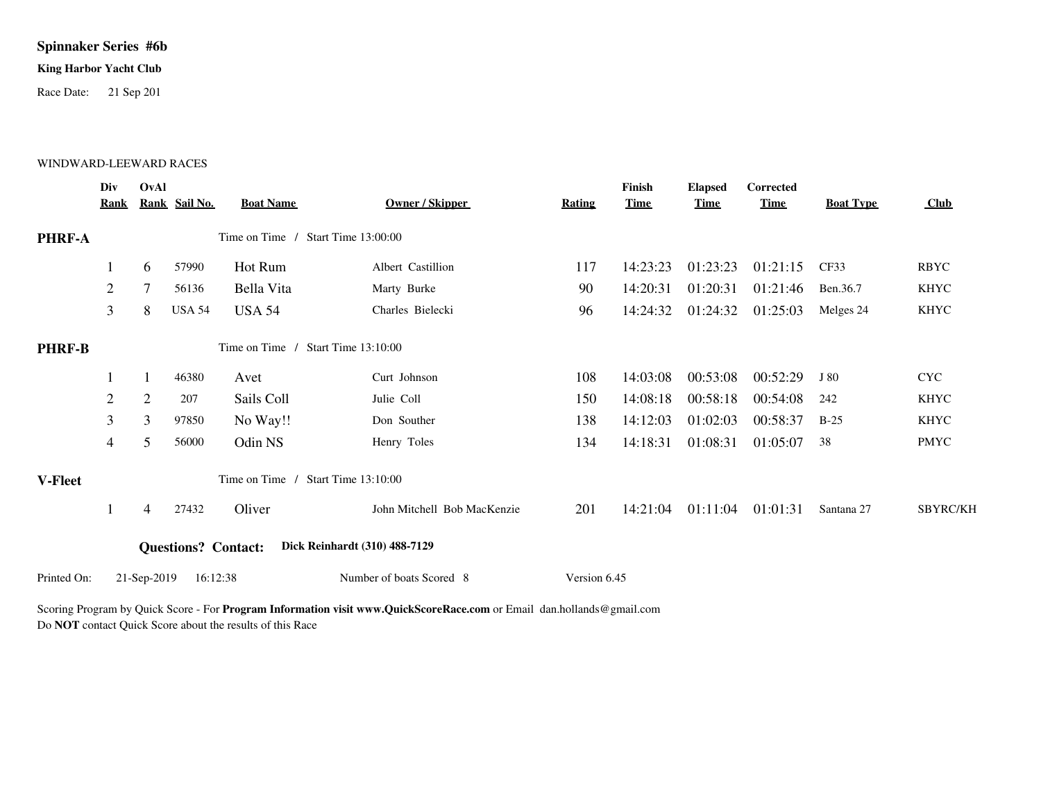# **Spinnaker Series #6b**

## **King Harbor Yacht Club**

Race Date: 21 Sep 201

### WINDWARD-LEEWARD RACES

|                | Div<br>Rank    | OvAl                                         | Rank Sail No.              | <b>Boat Name</b>                   | Owner / Skipper               | Rating       | Finish<br><b>Time</b> | <b>Elapsed</b><br><b>Time</b> | Corrected<br><b>Time</b> | <b>Boat Type</b> | Club            |
|----------------|----------------|----------------------------------------------|----------------------------|------------------------------------|-------------------------------|--------------|-----------------------|-------------------------------|--------------------------|------------------|-----------------|
| PHRF-A         |                |                                              |                            | Time on Time /                     | Start Time $13:00:00$         |              |                       |                               |                          |                  |                 |
|                |                | 6                                            | 57990                      | Hot Rum                            | Albert Castillion             | 117          | 14:23:23              | 01:23:23                      | 01:21:15                 | CF33             | <b>RBYC</b>     |
|                | 2              |                                              | 56136                      | Bella Vita                         | Marty Burke                   | 90           | 14:20:31              | 01:20:31                      | 01:21:46                 | Ben.36.7         | <b>KHYC</b>     |
|                | 3              | 8                                            | <b>USA 54</b>              | <b>USA 54</b>                      | Charles Bielecki              | 96           | 14:24:32              | 01:24:32                      | 01:25:03                 | Melges 24        | <b>KHYC</b>     |
| <b>PHRF-B</b>  |                |                                              |                            | Time on Time / Start Time 13:10:00 |                               |              |                       |                               |                          |                  |                 |
|                |                | $\mathbf{1}$                                 | 46380                      | Avet                               | Curt Johnson                  | 108          | 14:03:08              | 00:53:08                      | 00:52:29                 | J 80             | <b>CYC</b>      |
|                | $\overline{c}$ | $\overline{2}$                               | 207                        | Sails Coll                         | Julie Coll                    | 150          | 14:08:18              | 00:58:18                      | 00:54:08                 | 242              | <b>KHYC</b>     |
|                | 3              | 3                                            | 97850                      | No Way!!                           | Don Souther                   | 138          | 14:12:03              | 01:02:03                      | 00:58:37                 | $B-25$           | <b>KHYC</b>     |
|                | 4              | 5                                            | 56000                      | Odin NS                            | Henry Toles                   | 134          | 14:18:31              | 01:08:31                      | 01:05:07                 | 38               | <b>PMYC</b>     |
| <b>V-Fleet</b> |                | Time on Time /<br><b>Start Time 13:10:00</b> |                            |                                    |                               |              |                       |                               |                          |                  |                 |
|                | 1              | $\overline{4}$                               | 27432                      | Oliver                             | John Mitchell Bob MacKenzie   | 201          | 14:21:04              | 01:11:04                      | 01:01:31                 | Santana 27       | <b>SBYRC/KH</b> |
|                |                |                                              | <b>Questions?</b> Contact: |                                    | Dick Reinhardt (310) 488-7129 |              |                       |                               |                          |                  |                 |
| Printed On:    |                | 21-Sep-2019                                  | 16:12:38                   |                                    | Number of boats Scored 8      | Version 6.45 |                       |                               |                          |                  |                 |

Scoring Program by Quick Score - For **Program Information visit www.QuickScoreRace.com** or Email dan.hollands@gmail.com Do **NOT** contact Quick Score about the results of this Race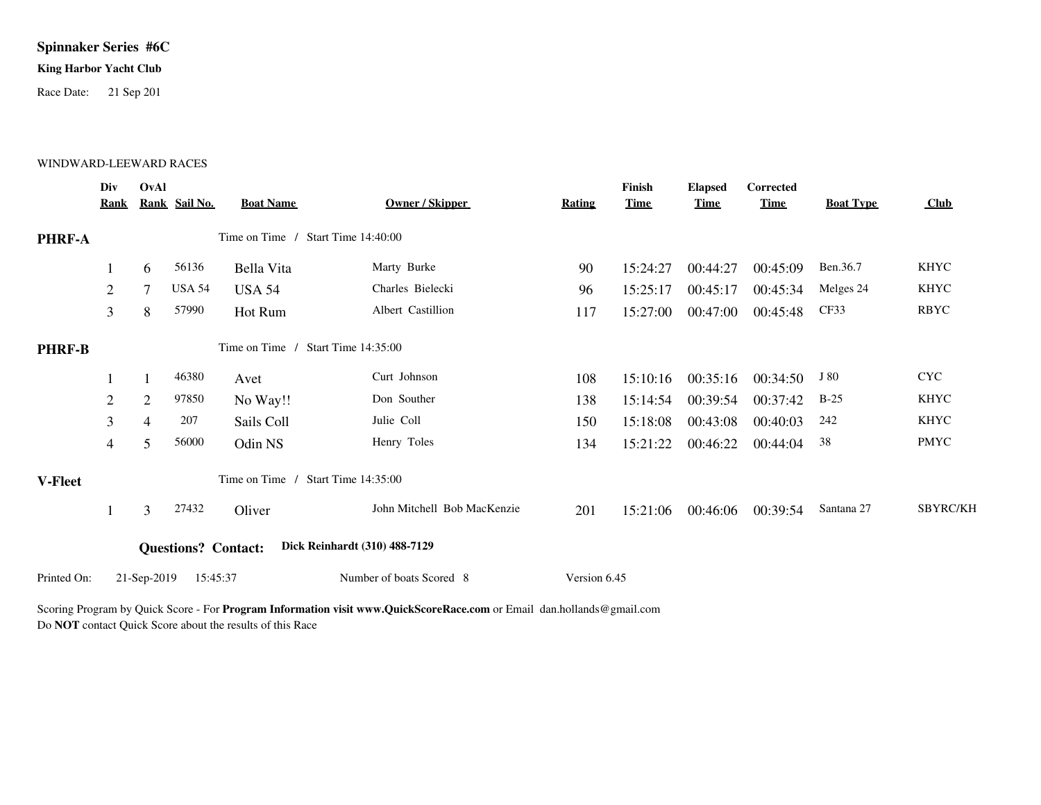# **Spinnaker Series #6C**

## **King Harbor Yacht Club**

Race Date: 21 Sep 201

### WINDWARD-LEEWARD RACES

|               | Div<br><b>Rank</b> | OvAl           | Rank Sail No. | <b>Boat Name</b>                   | Owner / Skipper               | Rating       | Finish<br><b>Time</b> | <b>Elapsed</b><br><b>Time</b> | Corrected<br><b>Time</b> | <b>Boat Type</b> | Club            |
|---------------|--------------------|----------------|---------------|------------------------------------|-------------------------------|--------------|-----------------------|-------------------------------|--------------------------|------------------|-----------------|
| PHRF-A        |                    |                |               | Time on Time / Start Time 14:40:00 |                               |              |                       |                               |                          |                  |                 |
|               |                    | 6              | 56136         | Bella Vita                         | Marty Burke                   | 90           | 15:24:27              | 00:44:27                      | 00:45:09                 | Ben.36.7         | <b>KHYC</b>     |
|               | 2                  |                | <b>USA 54</b> | <b>USA 54</b>                      | Charles Bielecki              | 96           | 15:25:17              | 00:45:17                      | 00:45:34                 | Melges 24        | <b>KHYC</b>     |
|               | $\mathfrak{Z}$     | 8              | 57990         | Hot Rum                            | Albert Castillion             | 117          | 15:27:00              | 00:47:00                      | 00:45:48                 | CF33             | <b>RBYC</b>     |
| <b>PHRF-B</b> |                    |                |               | Time on Time / Start Time 14:35:00 |                               |              |                       |                               |                          |                  |                 |
|               |                    |                | 46380         | Avet                               | Curt Johnson                  | 108          | 15:10:16              | 00:35:16                      | 00:34:50                 | J 80             | <b>CYC</b>      |
|               | 2                  | $\overline{2}$ | 97850         | No Way!!                           | Don Souther                   | 138          | 15:14:54              | 00:39:54                      | 00:37:42                 | $B-25$           | KHYC            |
|               | 3                  | 4              | 207           | Sails Coll                         | Julie Coll                    | 150          | 15:18:08              | 00:43:08                      | 00:40:03                 | 242              | <b>KHYC</b>     |
|               | $\overline{4}$     | 5              | 56000         | Odin NS                            | Henry Toles                   | 134          | 15:21:22              | 00:46:22                      | 00:44:04                 | 38               | <b>PMYC</b>     |
| V-Fleet       |                    |                |               | Time on Time                       | Start Time 14:35:00           |              |                       |                               |                          |                  |                 |
|               |                    | 3              | 27432         | Oliver                             | John Mitchell Bob MacKenzie   | 201          | 15:21:06              | 00:46:06                      | 00:39:54                 | Santana 27       | <b>SBYRC/KH</b> |
|               |                    |                |               | <b>Questions? Contact:</b>         | Dick Reinhardt (310) 488-7129 |              |                       |                               |                          |                  |                 |
| Printed On:   |                    | 21-Sep-2019    | 15:45:37      |                                    | Number of boats Scored 8      | Version 6.45 |                       |                               |                          |                  |                 |

Scoring Program by Quick Score - For **Program Information visit www.QuickScoreRace.com** or Email dan.hollands@gmail.com Do **NOT** contact Quick Score about the results of this Race